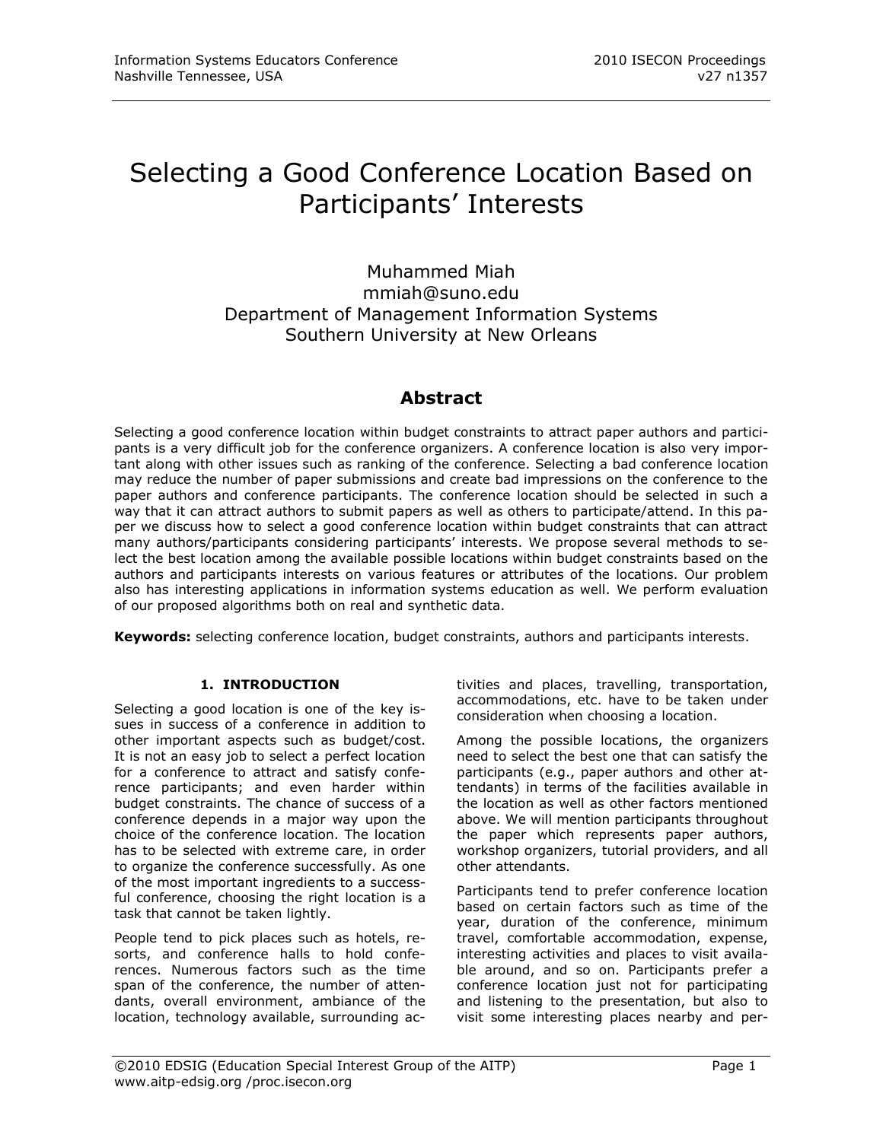# Selecting a Good Conference Location Based on Participants' Interests

Muhammed Miah mmiah@suno.edu Department of Management Information Systems Southern University at New Orleans

# **Abstract**

Selecting a good conference location within budget constraints to attract paper authors and participants is a very difficult job for the conference organizers. A conference location is also very important along with other issues such as ranking of the conference. Selecting a bad conference location may reduce the number of paper submissions and create bad impressions on the conference to the paper authors and conference participants. The conference location should be selected in such a way that it can attract authors to submit papers as well as others to participate/attend. In this paper we discuss how to select a good conference location within budget constraints that can attract many authors/participants considering participants' interests. We propose several methods to select the best location among the available possible locations within budget constraints based on the authors and participants interests on various features or attributes of the locations. Our problem also has interesting applications in information systems education as well. We perform evaluation of our proposed algorithms both on real and synthetic data.

**Keywords:** selecting conference location, budget constraints, authors and participants interests.

# **1. INTRODUCTION**

Selecting a good location is one of the key issues in success of a conference in addition to other important aspects such as budget/cost. It is not an easy job to select a perfect location for a conference to attract and satisfy conference participants; and even harder within budget constraints. The chance of success of a conference depends in a major way upon the choice of the conference location. The location has to be selected with extreme care, in order to organize the conference successfully. As one of the most important ingredients to a successful conference, choosing the right location is a task that cannot be taken lightly.

People tend to pick places such as hotels, resorts, and conference halls to hold conferences. Numerous factors such as the time span of the conference, the number of attendants, overall environment, ambiance of the location, technology available, surrounding ac-

tivities and places, travelling, transportation, accommodations, etc. have to be taken under consideration when choosing a location.

Among the possible locations, the organizers need to select the best one that can satisfy the participants (e.g., paper authors and other attendants) in terms of the facilities available in the location as well as other factors mentioned above. We will mention participants throughout the paper which represents paper authors, workshop organizers, tutorial providers, and all other attendants.

Participants tend to prefer conference location based on certain factors such as time of the year, duration of the conference, minimum travel, comfortable accommodation, expense, interesting activities and places to visit available around, and so on. Participants prefer a conference location just not for participating and listening to the presentation, but also to visit some interesting places nearby and per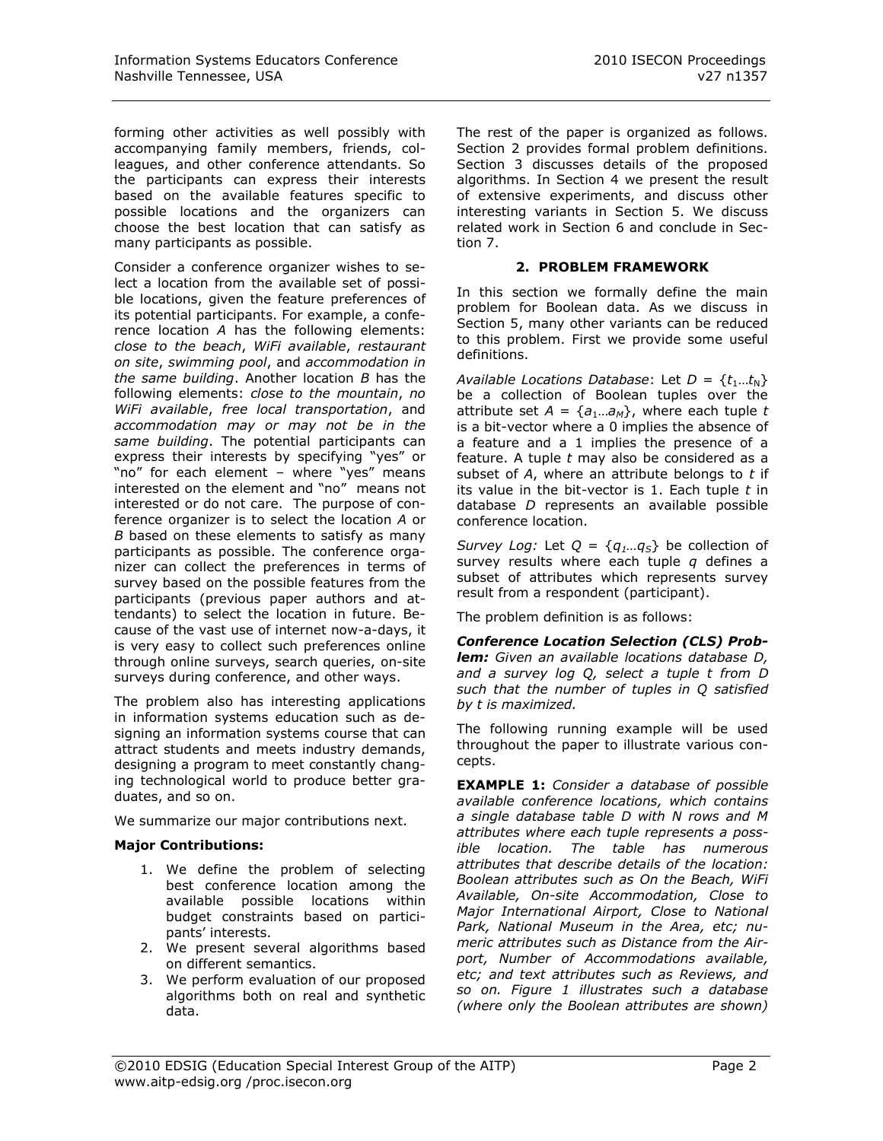forming other activities as well possibly with accompanying family members, friends, colleagues, and other conference attendants. So the participants can express their interests based on the available features specific to possible locations and the organizers can choose the best location that can satisfy as many participants as possible.

Consider a conference organizer wishes to select a location from the available set of possible locations, given the feature preferences of its potential participants. For example, a conference location *A* has the following elements: *close to the beach*, *WiFi available*, *restaurant on site*, *swimming pool*, and *accommodation in the same building*. Another location *B* has the following elements: *close to the mountain*, *no WiFi available*, *free local transportation*, and *accommodation may or may not be in the same building*. The potential participants can express their interests by specifying "yes" or "no" for each element – where "yes" means interested on the element and "no" means not interested or do not care. The purpose of conference organizer is to select the location *A* or *B* based on these elements to satisfy as many participants as possible. The conference organizer can collect the preferences in terms of survey based on the possible features from the participants (previous paper authors and attendants) to select the location in future. Because of the vast use of internet now-a-days, it is very easy to collect such preferences online through online surveys, search queries, on-site surveys during conference, and other ways.

The problem also has interesting applications in information systems education such as designing an information systems course that can attract students and meets industry demands, designing a program to meet constantly changing technological world to produce better graduates, and so on.

We summarize our major contributions next.

# **Major Contributions:**

- 1. We define the problem of selecting best conference location among the available possible locations within budget constraints based on participants' interests.
- 2. We present several algorithms based on different semantics.
- 3. We perform evaluation of our proposed algorithms both on real and synthetic data.

The rest of the paper is organized as follows. Section 2 provides formal problem definitions. Section 3 discusses details of the proposed algorithms. In Section 4 we present the result of extensive experiments, and discuss other interesting variants in Section 5. We discuss related work in Section 6 and conclude in Section 7.

# **2. PROBLEM FRAMEWORK**

In this section we formally define the main problem for Boolean data. As we discuss in Section 5, many other variants can be reduced to this problem. First we provide some useful definitions.

*Available Locations Database: Let*  $D = \{t_1...t_N\}$ be a collection of Boolean tuples over the attribute set  $A = \{a_1...a_M\}$ , where each tuple *t* is a bit-vector where a 0 implies the absence of a feature and a 1 implies the presence of a feature. A tuple *t* may also be considered as a subset of *A*, where an attribute belongs to *t* if its value in the bit-vector is 1. Each tuple *t* in database *D* represents an available possible conference location.

*Survey Log:* Let  $Q = \{q_1...q_S\}$  be collection of survey results where each tuple *q* defines a subset of attributes which represents survey result from a respondent (participant).

The problem definition is as follows:

*Conference Location Selection (CLS) Problem: Given an available locations database D, and a survey log Q, select a tuple t from D such that the number of tuples in Q satisfied by t is maximized.*

The following running example will be used throughout the paper to illustrate various concepts.

**EXAMPLE 1:** *Consider a database of possible available conference locations, which contains a single database table D with N rows and M attributes where each tuple represents a possible location. The table has numerous attributes that describe details of the location: Boolean attributes such as On the Beach, WiFi Available, On-site Accommodation, Close to Major International Airport, Close to National Park, National Museum in the Area, etc; numeric attributes such as Distance from the Airport, Number of Accommodations available, etc; and text attributes such as Reviews, and so on. Figure 1 illustrates such a database (where only the Boolean attributes are shown)*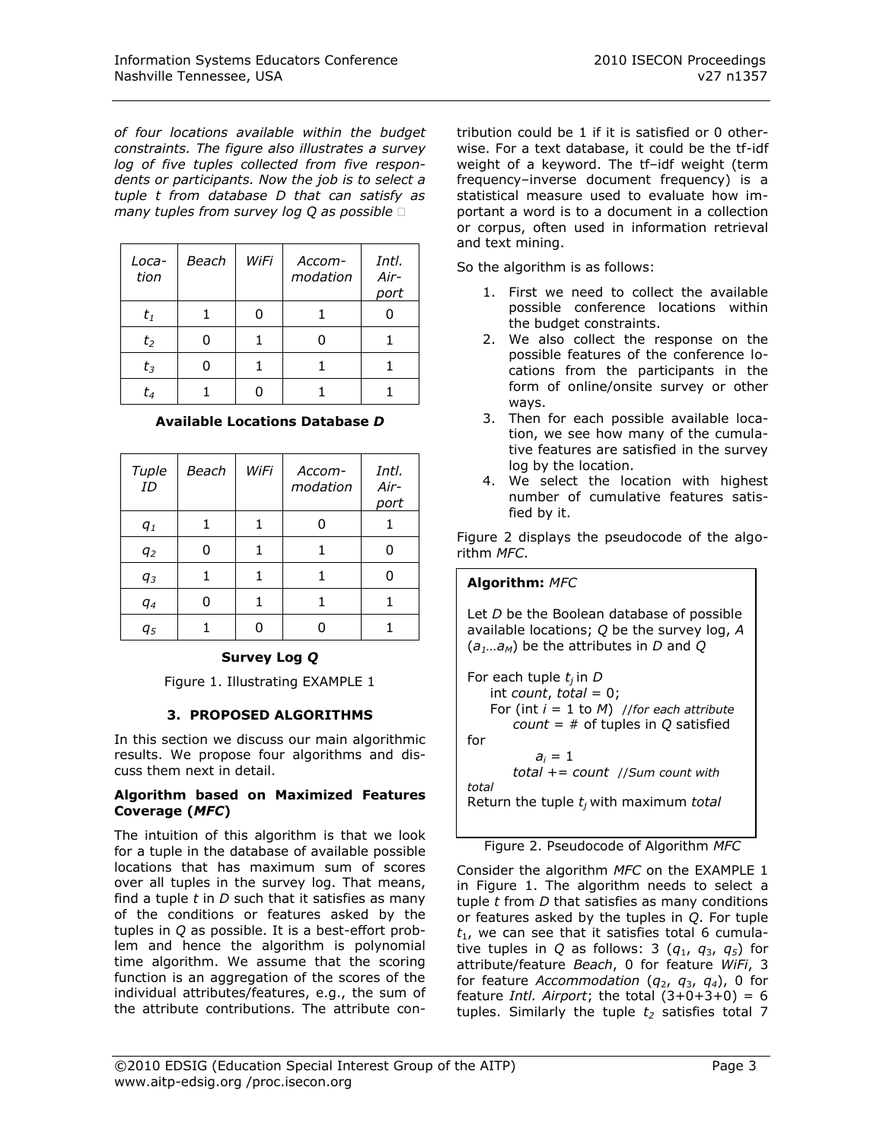*of four locations available within the budget constraints. The figure also illustrates a survey log of five tuples collected from five respondents or participants. Now the job is to select a tuple t from database D that can satisfy as many tuples from survey log Q as possible*

| Loca-<br>tion | <b>Beach</b> | WiFi | Accom-<br>modation | Intl.<br>Air-<br>port |
|---------------|--------------|------|--------------------|-----------------------|
| $t_1$         |              |      |                    |                       |
| $t_2$         |              |      |                    |                       |
| $t_3$         |              |      |                    |                       |
| t4            |              |      |                    |                       |

## **Available Locations Database** *D*

| Tuple<br>ID | <b>Beach</b> | WiFi | Accom-<br>modation | Intl.<br>Air-<br>port |
|-------------|--------------|------|--------------------|-----------------------|
| $q_1$       |              |      |                    |                       |
| $q_2$       |              |      |                    |                       |
| $q_3$       |              |      |                    |                       |
| $q_4$       | ი            | 1    | 1                  |                       |
| $q_{5}$     |              |      |                    |                       |

# **Survey Log** *Q*

Figure 1. Illustrating EXAMPLE 1

## **3. PROPOSED ALGORITHMS**

In this section we discuss our main algorithmic results. We propose four algorithms and discuss them next in detail.

### **Algorithm based on Maximized Features Coverage (***MFC***)**

The intuition of this algorithm is that we look for a tuple in the database of available possible locations that has maximum sum of scores over all tuples in the survey log. That means, find a tuple *t* in *D* such that it satisfies as many of the conditions or features asked by the tuples in *Q* as possible. It is a best-effort problem and hence the algorithm is polynomial time algorithm. We assume that the scoring function is an aggregation of the scores of the individual attributes/features, e.g., the sum of the attribute contributions. The attribute contribution could be 1 if it is satisfied or 0 otherwise. For a text database, it could be the tf-idf weight of a keyword. The tf–idf weight (term frequency–inverse document frequency) is a statistical measure used to evaluate how important a word is to a [document](http://en.wikipedia.org/wiki/Document) in a collection or [corpus,](http://en.wikipedia.org/wiki/Text_corpus) often used in [information retrieval](http://en.wikipedia.org/wiki/Information_retrieval) and [text mining.](http://en.wikipedia.org/wiki/Text_mining)

So the algorithm is as follows:

- 1. First we need to collect the available possible conference locations within the budget constraints.
- 2. We also collect the response on the possible features of the conference locations from the participants in the form of online/onsite survey or other ways.
- 3. Then for each possible available location, we see how many of the cumulative features are satisfied in the survey log by the location.
- 4. We select the location with highest number of cumulative features satisfied by it.

Figure 2 displays the pseudocode of the algorithm *MFC*.

# **Algorithm:** *MFC*

Let *D* be the Boolean database of possible available locations; *Q* be the survey log, *A* (*a1…aM*) be the attributes in *D* and *Q*

For each tuple *t<sup>j</sup>* in *D*  $int count, total = 0;$  For (int *i* = 1 to *M*) //*for each attribute count* = # of tuples in *Q* satisfied for  $a_i = 1$  *total* += *count* //*Sum count with total* Return the tuple *t<sup>j</sup>* with maximum *total*

Figure 2. Pseudocode of Algorithm *MFC*

Consider the algorithm *MFC* on the EXAMPLE 1 in Figure 1. The algorithm needs to select a tuple *t* from *D* that satisfies as many conditions or features asked by the tuples in *Q*. For tuple  $t_1$ , we can see that it satisfies total 6 cumulative tuples in *Q* as follows: 3  $(q_1, q_3, q_5)$  for attribute/feature *Beach*, 0 for feature *WiFi*, 3 for feature *Accommodation* (*q*2, *q*3, *q4*), 0 for feature *Intl. Airport*; the total  $(3+0+3+0) = 6$ tuples. Similarly the tuple  $t_2$  satisfies total 7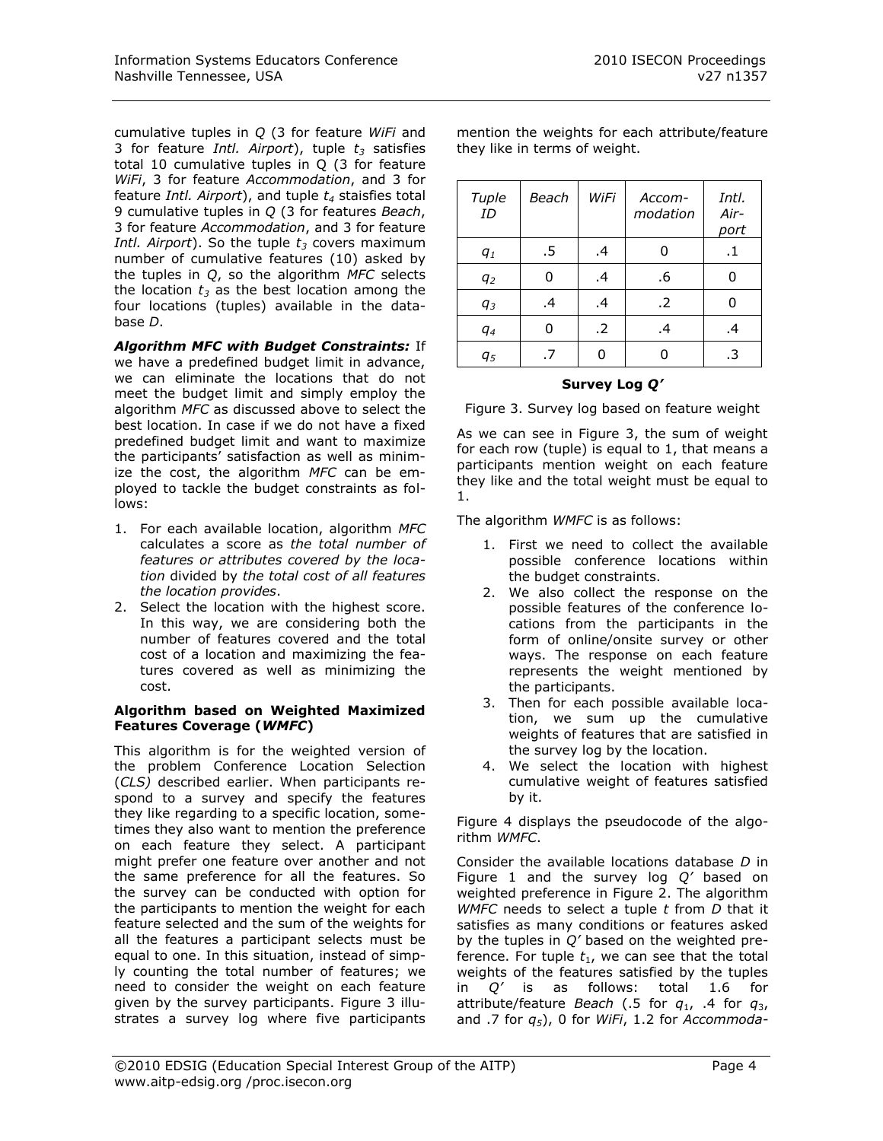cumulative tuples in *Q* (3 for feature *WiFi* and 3 for feature *Intl. Airport*), tuple *t<sup>3</sup>* satisfies total 10 cumulative tuples in Q (3 for feature *WiFi*, 3 for feature *Accommodation*, and 3 for feature *Intl. Airport*), and tuple *t<sup>4</sup>* staisfies total 9 cumulative tuples in *Q* (3 for features *Beach*, 3 for feature *Accommodation*, and 3 for feature *Intl. Airport*). So the tuple *t<sup>3</sup>* covers maximum number of cumulative features (10) asked by the tuples in *Q*, so the algorithm *MFC* selects the location  $t_3$  as the best location among the four locations (tuples) available in the database *D*.

*Algorithm MFC with Budget Constraints:* If we have a predefined budget limit in advance, we can eliminate the locations that do not meet the budget limit and simply employ the algorithm *MFC* as discussed above to select the best location. In case if we do not have a fixed predefined budget limit and want to maximize the participants' satisfaction as well as minimize the cost, the algorithm *MFC* can be employed to tackle the budget constraints as follows:

- 1. For each available location, algorithm *MFC* calculates a score as *the total number of features or attributes covered by the location* divided by *the total cost of all features the location provides*.
- 2. Select the location with the highest score. In this way, we are considering both the number of features covered and the total cost of a location and maximizing the features covered as well as minimizing the cost.

### **Algorithm based on Weighted Maximized Features Coverage (***WMFC***)**

This algorithm is for the weighted version of the problem Conference Location Selection (*CLS)* described earlier. When participants respond to a survey and specify the features they like regarding to a specific location, sometimes they also want to mention the preference on each feature they select. A participant might prefer one feature over another and not the same preference for all the features. So the survey can be conducted with option for the participants to mention the weight for each feature selected and the sum of the weights for all the features a participant selects must be equal to one. In this situation, instead of simply counting the total number of features; we need to consider the weight on each feature given by the survey participants. Figure 3 illustrates a survey log where five participants

mention the weights for each attribute/feature they like in terms of weight.

### *Tuple ID Beach WiFi Accommodation Intl. Airport q<sup>1</sup>* .5 .4 0 .1 *q<sup>2</sup>* 0 .4 .6 0 *q<sup>3</sup>* .4 .4 .2 0 *q*<sub>4</sub> 0 .2 .4 .4 *q<sup>5</sup>* .7 0 0 .3

# **Survey Log** *Q'*

Figure 3. Survey log based on feature weight

As we can see in Figure 3, the sum of weight for each row (tuple) is equal to 1, that means a participants mention weight on each feature they like and the total weight must be equal to 1.

The algorithm *WMFC* is as follows:

- 1. First we need to collect the available possible conference locations within the budget constraints.
- 2. We also collect the response on the possible features of the conference locations from the participants in the form of online/onsite survey or other ways. The response on each feature represents the weight mentioned by the participants.
- 3. Then for each possible available location, we sum up the cumulative weights of features that are satisfied in the survey log by the location.
- 4. We select the location with highest cumulative weight of features satisfied by it.

Figure 4 displays the pseudocode of the algorithm *WMFC*.

Consider the available locations database *D* in Figure 1 and the survey log *Q'* based on weighted preference in Figure 2. The algorithm *WMFC* needs to select a tuple *t* from *D* that it satisfies as many conditions or features asked by the tuples in *Q'* based on the weighted preference. For tuple  $t_1$ , we can see that the total weights of the features satisfied by the tuples in *Q'* is as follows: total 1.6 for attribute/feature *Beach* (.5 for *q*1, .4 for *q*3, and .7 for *q5*), 0 for *WiFi*, 1.2 for *Accommoda-*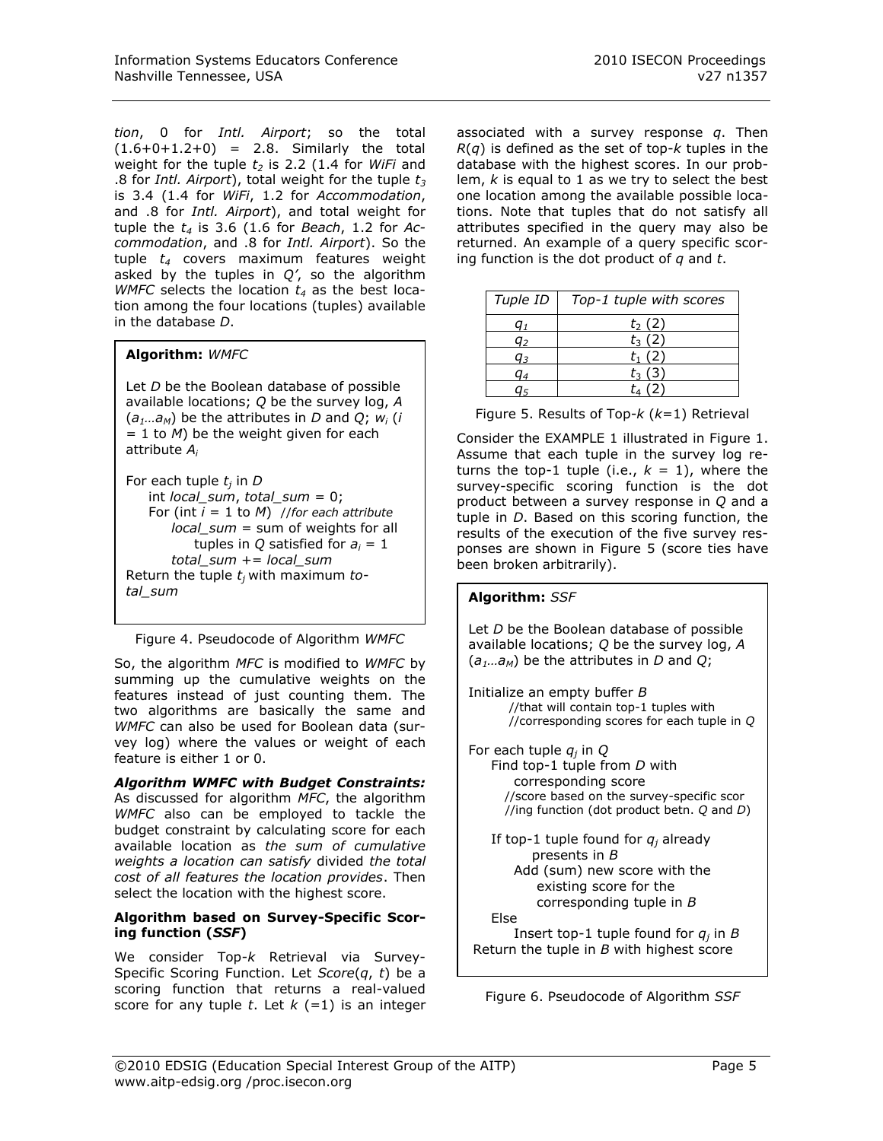*tion*, 0 for *Intl. Airport*; so the total  $(1.6+0+1.2+0) = 2.8$ . Similarly the total weight for the tuple *t<sup>2</sup>* is 2.2 (1.4 for *WiFi* and .8 for *Intl. Airport*), total weight for the tuple *t<sup>3</sup>* is 3.4 (1.4 for *WiFi*, 1.2 for *Accommodation*, and .8 for *Intl. Airport*), and total weight for tuple the *t<sup>4</sup>* is 3.6 (1.6 for *Beach*, 1.2 for *Accommodation*, and .8 for *Intl. Airport*). So the tuple *t<sup>4</sup>* covers maximum features weight asked by the tuples in *Q'*, so the algorithm *WMFC* selects the location *t<sup>4</sup>* as the best location among the four locations (tuples) available in the database *D*.

# **Algorithm:** *WMFC*

Let *D* be the Boolean database of possible available locations; *Q* be the survey log, *A*  $(a_1...a_M)$  be the attributes in *D* and *Q*;  $w_i$  (*i*  $= 1$  to *M*) be the weight given for each attribute *A<sup>i</sup>*

For each tuple *t<sup>j</sup>* in *D* int *local\_sum*, *total\_sum* = 0; For (int *i* = 1 to *M*) //*for each attribute local sum* = sum of weights for all tuples in  $Q$  satisfied for  $a_i = 1$  *total\_sum* += *local\_sum* Return the tuple *t<sup>j</sup>* with maximum *total\_sum* **Algorithm:** *SSF*

Figure 4. Pseudocode of Algorithm *WMFC*

So, the algorithm *MFC* is modified to *WMFC* by summing up the cumulative weights on the features instead of just counting them. The two algorithms are basically the same and *WMFC* can also be used for Boolean data (survey log) where the values or weight of each feature is either 1 or 0.

*Algorithm WMFC with Budget Constraints:* As discussed for algorithm *MFC*, the algorithm *WMFC* also can be employed to tackle the budget constraint by calculating score for each available location as *the sum of cumulative weights a location can satisfy* divided *the total cost of all features the location provides*. Then select the location with the highest score.

### **Algorithm based on Survey-Specific Scoring function (***SSF***)**

We consider Top-*k* Retrieval via Survey-Specific Scoring Function. Let *Score*(*q*, *t*) be a scoring function that returns a real-valued score for any tuple  $t$ . Let  $k$  (=1) is an integer associated with a survey response *q*. Then *R*(*q*) is defined as the set of top-*k* tuples in the database with the highest scores. In our problem, *k* is equal to 1 as we try to select the best one location among the available possible locations. Note that tuples that do not satisfy all attributes specified in the query may also be returned. An example of a query specific scoring function is the dot product of *q* and *t*.

| Tuple ID | Top-1 tuple with scores |
|----------|-------------------------|
|          | $t_2(2)$                |
| a۰       | $t_3(2)$                |
| aз       | $t_1(2)$                |
| J⊿       | $t_3(3)$                |
|          | t. (2)                  |

Figure 5. Results of Top-*k* (*k*=1) Retrieval

Consider the EXAMPLE 1 illustrated in Figure 1. Assume that each tuple in the survey log returns the top-1 tuple (i.e.,  $k = 1$ ), where the survey-specific scoring function is the dot product between a survey response in *Q* and a tuple in *D*. Based on this scoring function, the results of the execution of the five survey responses are shown in Figure 5 (score ties have been broken arbitrarily).

Let *D* be the Boolean database of possible available locations; *Q* be the survey log, *A* (*a1…aM*) be the attributes in *D* and *Q*;

Initialize an empty buffer *B* //that will contain top-1 tuples with //corresponding scores for each tuple in *Q*

For each tuple *q<sup>j</sup>* in *Q* Find top-1 tuple from *D* with corresponding score //score based on the survey-specific scor //ing function (dot product betn. *Q* and *D*) If top-1 tuple found for  $q_i$  already

 presents in *B* Add (sum) new score with the existing score for the corresponding tuple in *B* Else

 Insert top-1 tuple found for *q<sup>j</sup>* in *B* Return the tuple in *B* with highest score

Figure 6. Pseudocode of Algorithm *SSF*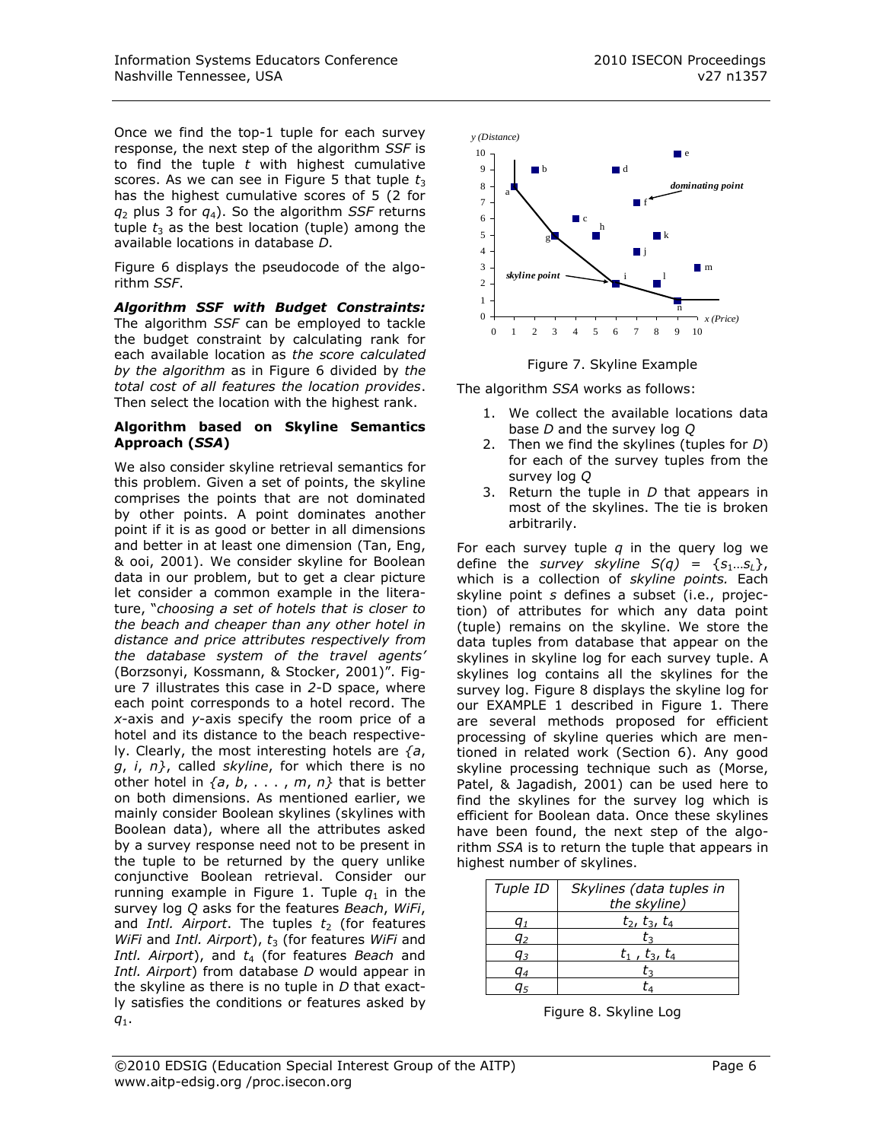Once we find the top-1 tuple for each survey response, the next step of the algorithm *SSF* is to find the tuple *t* with highest cumulative scores. As we can see in Figure 5 that tuple  $t_3$ has the highest cumulative scores of 5 (2 for  $q_2$  plus 3 for  $q_4$ ). So the algorithm *SSF* returns tuple  $t_3$  as the best location (tuple) among the available locations in database *D*.

Figure 6 displays the pseudocode of the algorithm *SSF*.

*Algorithm SSF with Budget Constraints:* The algorithm *SSF* can be employed to tackle the budget constraint by calculating rank for each available location as *the score calculated by the algorithm* as in Figure 6 divided by *the total cost of all features the location provides*. Then select the location with the highest rank.

## **Algorithm based on Skyline Semantics Approach (***SSA***)**

We also consider skyline retrieval semantics for this problem. Given a set of points, the skyline comprises the points that are not dominated by other points. A point dominates another point if it is as good or better in all dimensions and better in at least one dimension (Tan, Eng, & ooi, 2001). We consider skyline for Boolean data in our problem, but to get a clear picture let consider a common example in the literature, "*choosing a set of hotels that is closer to the beach and cheaper than any other hotel in distance and price attributes respectively from the database system of the travel agents'*  (Borzsonyi, Kossmann, & Stocker, 2001)". Figure 7 illustrates this case in *2*-D space, where each point corresponds to a hotel record. The *x*-axis and *y*-axis specify the room price of a hotel and its distance to the beach respectively. Clearly, the most interesting hotels are *{a*, *g*, *i*, *n}*, called *skyline*, for which there is no other hotel in *{a*, *b*, . . . , *m*, *n}* that is better on both dimensions. As mentioned earlier, we mainly consider Boolean skylines (skylines with Boolean data), where all the attributes asked by a survey response need not to be present in the tuple to be returned by the query unlike conjunctive Boolean retrieval. Consider our running example in Figure 1. Tuple  $q_1$  in the survey log *Q* asks for the features *Beach*, *WiFi*, and *Intl. Airport*. The tuples  $t_2$  (for features *WiFi* and *Intl. Airport*),  $t_3$  (for features *WiFi* and *Intl. Airport*), and *t*<sup>4</sup> (for features *Beach* and *Intl. Airport*) from database *D* would appear in the skyline as there is no tuple in *D* that exactly satisfies the conditions or features asked by *q*1.



Figure 7. Skyline Example

0 1 2 3 4 5 6 7 8 9 10

The algorithm *SSA* works as follows:

0

- 1. We collect the available locations data base *D* and the survey log *Q*
- 2. Then we find the skylines (tuples for *D*) for each of the survey tuples from the survey log *Q*
- 3. Return the tuple in *D* that appears in most of the skylines. The tie is broken arbitrarily.

For each survey tuple *q* in the query log we define the *survey skyline*  $S(q) = \{s_1...s_l\}$ , which is a collection of *skyline points.* Each skyline point *s* defines a subset (i.e., projection) of attributes for which any data point (tuple) remains on the skyline. We store the data tuples from database that appear on the skylines in skyline log for each survey tuple. A skylines log contains all the skylines for the survey log. Figure 8 displays the skyline log for our EXAMPLE 1 described in Figure 1. There are several methods proposed for efficient processing of skyline queries which are mentioned in related work (Section 6). Any good skyline processing technique such as (Morse, Patel, & Jagadish, 2001) can be used here to find the skylines for the survey log which is efficient for Boolean data. Once these skylines have been found, the next step of the algorithm *SSA* is to return the tuple that appears in highest number of skylines.

| Tuple ID              | Skylines (data tuples in |
|-----------------------|--------------------------|
|                       | the skyline)             |
|                       | $t_2$ , $t_3$ , $t_4$    |
| a <sub>2</sub>        | tэ                       |
| <b>Q</b> <sub>3</sub> | $t_1$ , $t_3$ , $t_4$    |
|                       | t٦                       |
|                       |                          |

Figure 8. Skyline Log

*x (Price)*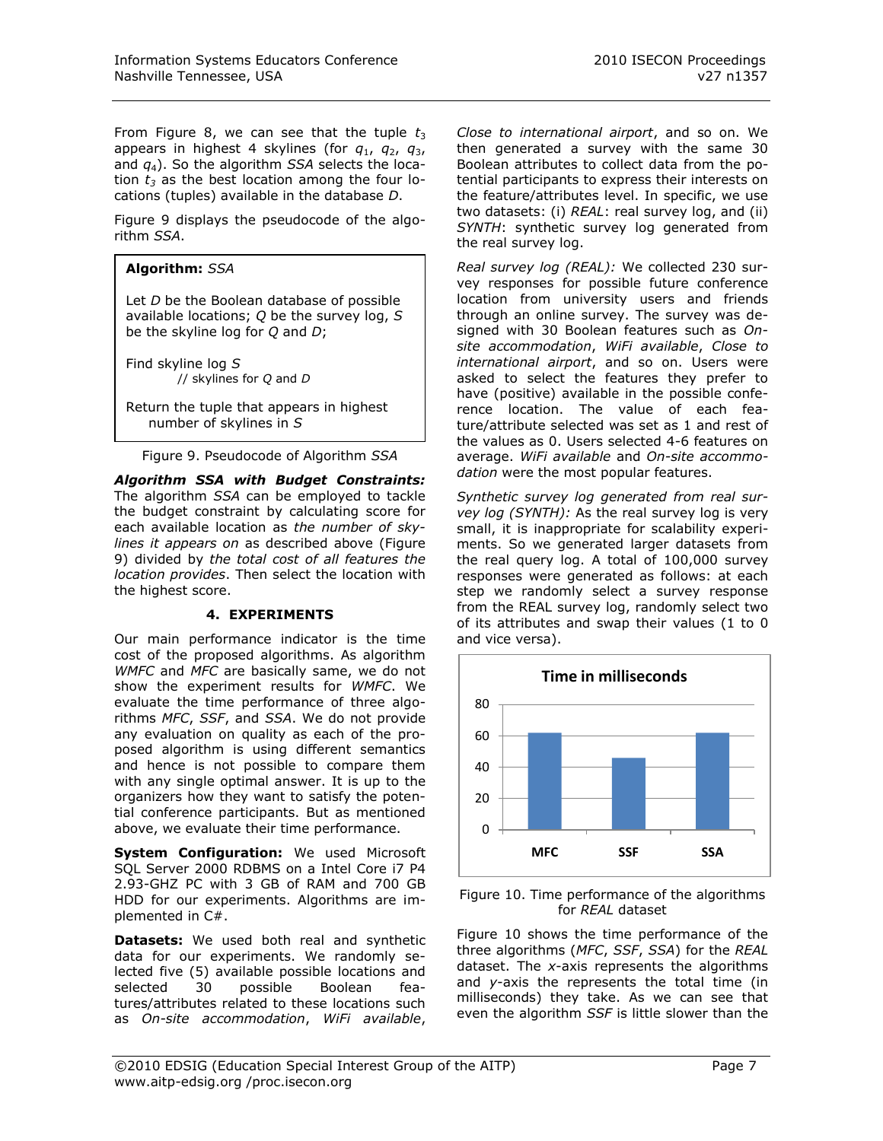From Figure 8, we can see that the tuple  $t_3$ appears in highest 4 skylines (for *q*1, *q*2, *q*3, and *q*4). So the algorithm *SSA* selects the location  $t_3$  as the best location among the four locations (tuples) available in the database *D*.

Figure 9 displays the pseudocode of the algorithm *SSA*.

# **Algorithm:** *SSA*

Let *D* be the Boolean database of possible available locations; *Q* be the survey log, *S*  be the skyline log for *Q* and *D*;

Find skyline log *S* // skylines for *Q* and *D*

Return the tuple that appears in highest number of skylines in *S*

Figure 9. Pseudocode of Algorithm *SSA*

*Algorithm SSA with Budget Constraints:* The algorithm *SSA* can be employed to tackle the budget constraint by calculating score for each available location as *the number of skylines it appears on* as described above (Figure 9) divided by *the total cost of all features the location provides*. Then select the location with the highest score.

# **4. EXPERIMENTS**

Our main performance indicator is the time cost of the proposed algorithms. As algorithm *WMFC* and *MFC* are basically same, we do not show the experiment results for *WMFC*. We evaluate the time performance of three algorithms *MFC*, *SSF*, and *SSA*. We do not provide any evaluation on quality as each of the proposed algorithm is using different semantics and hence is not possible to compare them with any single optimal answer. It is up to the organizers how they want to satisfy the potential conference participants. But as mentioned above, we evaluate their time performance.

**System Configuration:** We used Microsoft SQL Server 2000 RDBMS on a Intel Core i7 P4 2.93-GHZ PC with 3 GB of RAM and 700 GB HDD for our experiments. Algorithms are implemented in C#.

**Datasets:** We used both real and synthetic data for our experiments. We randomly selected five (5) available possible locations and selected 30 possible Boolean features/attributes related to these locations such as *On-site accommodation*, *WiFi available*,

*Close to international airport*, and so on. We then generated a survey with the same 30 Boolean attributes to collect data from the potential participants to express their interests on the feature/attributes level. In specific, we use two datasets: (i) *REAL*: real survey log, and (ii) *SYNTH*: synthetic survey log generated from the real survey log.

*Real survey log (REAL):* We collected 230 survey responses for possible future conference location from university users and friends through an online survey. The survey was designed with 30 Boolean features such as *Onsite accommodation*, *WiFi available*, *Close to international airport*, and so on. Users were asked to select the features they prefer to have (positive) available in the possible conference location. The value of each feature/attribute selected was set as 1 and rest of the values as 0. Users selected 4-6 features on average. *WiFi available* and *On-site accommodation* were the most popular features.

*Synthetic survey log generated from real survey log (SYNTH):* As the real survey log is very small, it is inappropriate for scalability experiments. So we generated larger datasets from the real query log. A total of 100,000 survey responses were generated as follows: at each step we randomly select a survey response from the REAL survey log, randomly select two of its attributes and swap their values (1 to 0 and vice versa).



Figure 10. Time performance of the algorithms for *REAL* dataset

Figure 10 shows the time performance of the three algorithms (*MFC*, *SSF*, *SSA*) for the *REAL* dataset. The *x*-axis represents the algorithms and *y*-axis the represents the total time (in milliseconds) they take. As we can see that even the algorithm *SSF* is little slower than the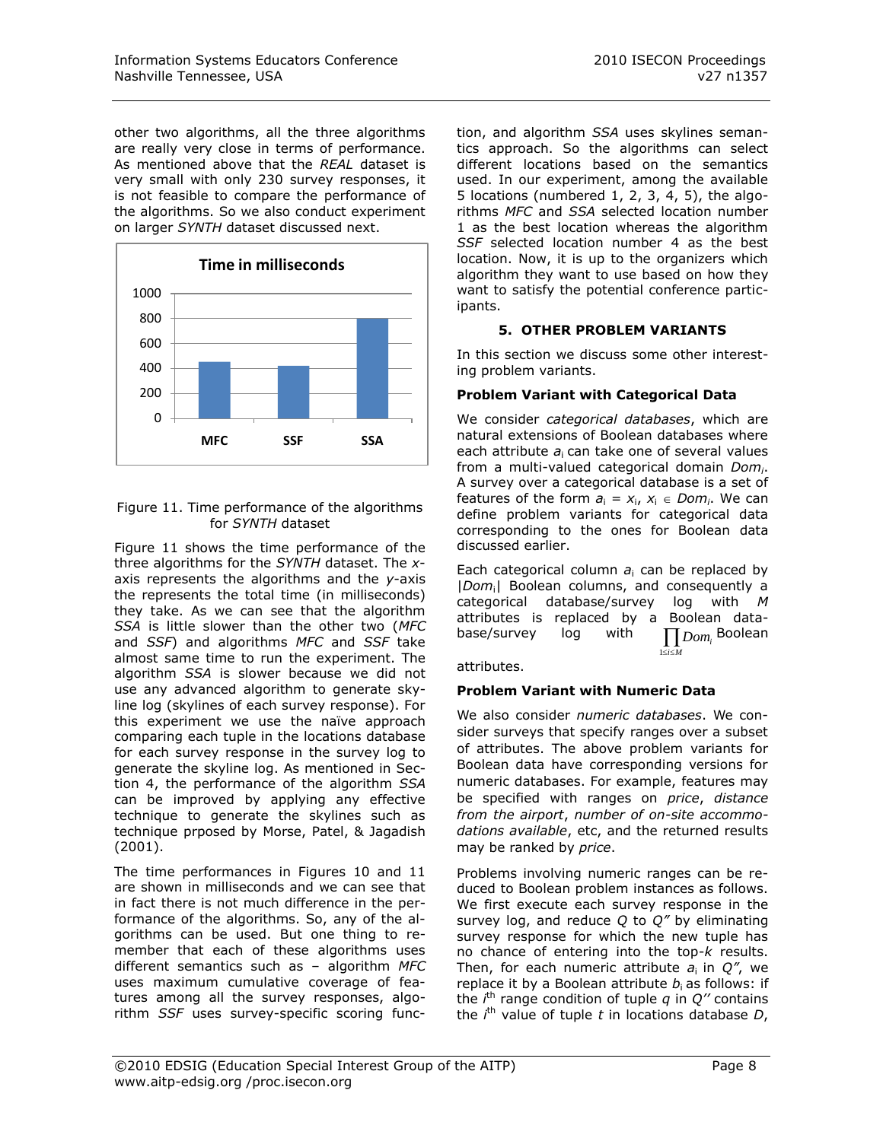other two algorithms, all the three algorithms are really very close in terms of performance. As mentioned above that the *REAL* dataset is very small with only 230 survey responses, it is not feasible to compare the performance of the algorithms. So we also conduct experiment on larger *SYNTH* dataset discussed next.



## Figure 11. Time performance of the algorithms for *SYNTH* dataset

Figure 11 shows the time performance of the three algorithms for the *SYNTH* dataset. The *x*axis represents the algorithms and the *y*-axis the represents the total time (in milliseconds) they take. As we can see that the algorithm *SSA* is little slower than the other two (*MFC* and *SSF*) and algorithms *MFC* and *SSF* take almost same time to run the experiment. The algorithm *SSA* is slower because we did not use any advanced algorithm to generate skyline log (skylines of each survey response). For this experiment we use the naïve approach comparing each tuple in the locations database for each survey response in the survey log to generate the skyline log. As mentioned in Section 4, the performance of the algorithm *SSA* can be improved by applying any effective technique to generate the skylines such as technique prposed by Morse, Patel, & Jagadish (2001).

The time performances in Figures 10 and 11 are shown in milliseconds and we can see that in fact there is not much difference in the performance of the algorithms. So, any of the algorithms can be used. But one thing to remember that each of these algorithms uses different semantics such as – algorithm *MFC* uses maximum cumulative coverage of features among all the survey responses, algorithm *SSF* uses survey-specific scoring function, and algorithm *SSA* uses skylines semantics approach. So the algorithms can select different locations based on the semantics used. In our experiment, among the available 5 locations (numbered 1, 2, 3, 4, 5), the algorithms *MFC* and *SSA* selected location number 1 as the best location whereas the algorithm *SSF* selected location number 4 as the best location. Now, it is up to the organizers which algorithm they want to use based on how they want to satisfy the potential conference participants.

# **5. OTHER PROBLEM VARIANTS**

In this section we discuss some other interesting problem variants.

# **Problem Variant with Categorical Data**

We consider *categorical databases*, which are natural extensions of Boolean databases where each attribute *a*i can take one of several values from a multi-valued categorical domain *Domi*. A survey over a categorical database is a set of features of the form  $a_i = x_i$ ,  $x_i \in Dom_i$ . We can define problem variants for categorical data corresponding to the ones for Boolean data discussed earlier.

Each categorical column *a*<sup>i</sup> can be replaced by |*Dom*i| Boolean columns, and consequently a categorical database/survey log with *M* attributes is replaced by a Boolean database/survey log with  $\prod_{1 \le i \le M} Dom_i$ Boolean

attributes.

# **Problem Variant with Numeric Data**

We also consider *numeric databases*. We consider surveys that specify ranges over a subset of attributes. The above problem variants for Boolean data have corresponding versions for numeric databases. For example, features may be specified with ranges on *price*, *distance from the airport*, *number of on-site accommodations available*, etc, and the returned results may be ranked by *price*.

Problems involving numeric ranges can be reduced to Boolean problem instances as follows. We first execute each survey response in the survey log, and reduce *Q* to *Q"* by eliminating survey response for which the new tuple has no chance of entering into the top-*k* results. Then, for each numeric attribute  $a_i$  in  $Q''$ , we replace it by a Boolean attribute  $b_i$  as follows: if the  $i<sup>th</sup>$  range condition of tuple  $q$  in  $Q''$  contains the *i*<sup>th</sup> value of tuple *t* in locations database *D*,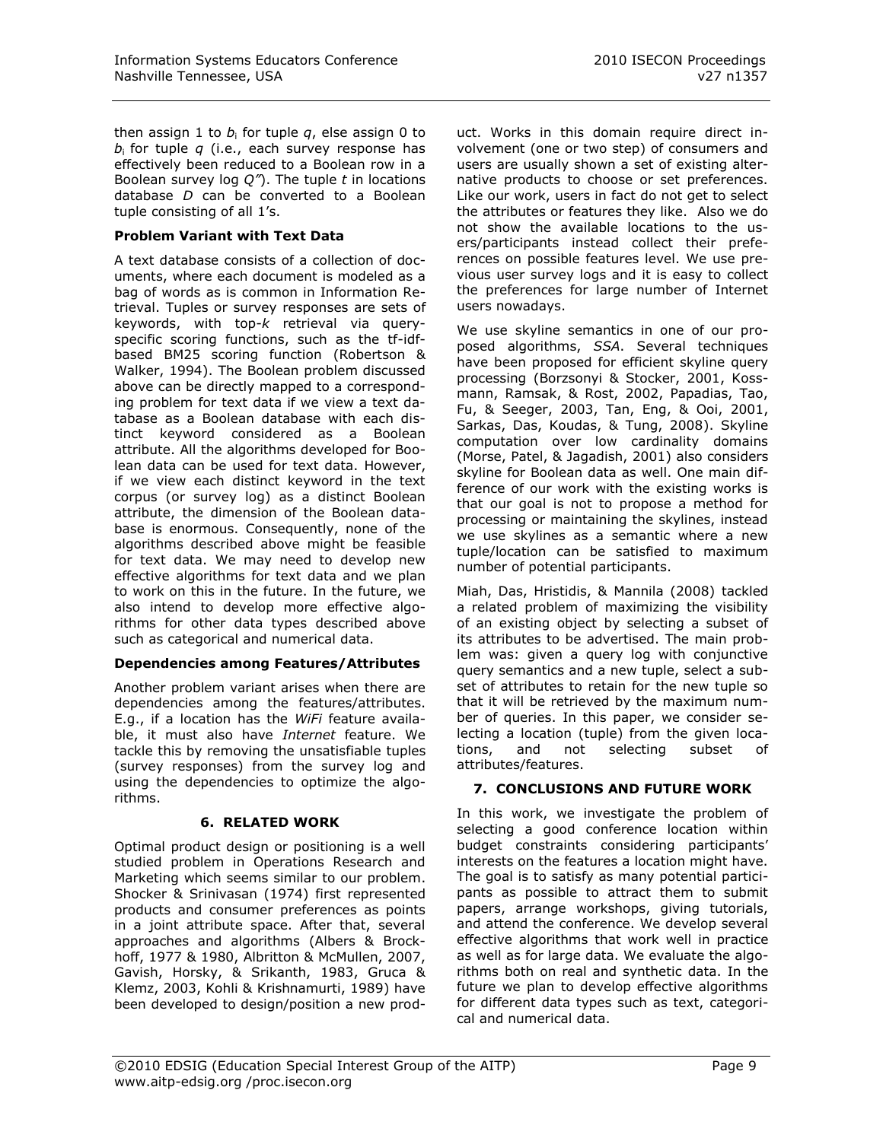then assign 1 to *b*<sup>i</sup> for tuple *q*, else assign 0 to *b*i for tuple *q* (i.e., each survey response has effectively been reduced to a Boolean row in a Boolean survey log *Q"*). The tuple *t* in locations database *D* can be converted to a Boolean tuple consisting of all 1's.

# **Problem Variant with Text Data**

A text database consists of a collection of documents, where each document is modeled as a bag of words as is common in Information Retrieval. Tuples or survey responses are sets of keywords, with top-*k* retrieval via queryspecific scoring functions, such as the tf-idfbased BM25 scoring function (Robertson & Walker, 1994). The Boolean problem discussed above can be directly mapped to a corresponding problem for text data if we view a text database as a Boolean database with each distinct keyword considered as a Boolean attribute. All the algorithms developed for Boolean data can be used for text data. However, if we view each distinct keyword in the text corpus (or survey log) as a distinct Boolean attribute, the dimension of the Boolean database is enormous. Consequently, none of the algorithms described above might be feasible for text data. We may need to develop new effective algorithms for text data and we plan to work on this in the future. In the future, we also intend to develop more effective algorithms for other data types described above such as categorical and numerical data.

## **Dependencies among Features/Attributes**

Another problem variant arises when there are dependencies among the features/attributes. E.g., if a location has the *WiFi* feature available, it must also have *Internet* feature. We tackle this by removing the unsatisfiable tuples (survey responses) from the survey log and using the dependencies to optimize the algorithms.

## **6. RELATED WORK**

Optimal product design or positioning is a well studied problem in Operations Research and Marketing which seems similar to our problem. Shocker & Srinivasan (1974) first represented products and consumer preferences as points in a joint attribute space. After that, several approaches and algorithms (Albers & Brockhoff, 1977 & 1980, Albritton & McMullen, 2007, Gavish, Horsky, & Srikanth, 1983, Gruca & Klemz, 2003, Kohli & Krishnamurti, 1989) have been developed to design/position a new product. Works in this domain require direct involvement (one or two step) of consumers and users are usually shown a set of existing alternative products to choose or set preferences. Like our work, users in fact do not get to select the attributes or features they like. Also we do not show the available locations to the users/participants instead collect their preferences on possible features level. We use previous user survey logs and it is easy to collect the preferences for large number of Internet users nowadays.

We use skyline semantics in one of our proposed algorithms, *SSA*. Several techniques have been proposed for efficient skyline query processing (Borzsonyi & Stocker, 2001, Kossmann, Ramsak, & Rost, 2002, Papadias, Tao, Fu, & Seeger, 2003, Tan, Eng, & Ooi, 2001, Sarkas, Das, Koudas, & Tung, 2008). Skyline computation over low cardinality domains (Morse, Patel, & Jagadish, 2001) also considers skyline for Boolean data as well. One main difference of our work with the existing works is that our goal is not to propose a method for processing or maintaining the skylines, instead we use skylines as a semantic where a new tuple/location can be satisfied to maximum number of potential participants.

Miah, Das, Hristidis, & Mannila (2008) tackled a related problem of maximizing the visibility of an existing object by selecting a subset of its attributes to be advertised. The main problem was: given a query log with conjunctive query semantics and a new tuple, select a subset of attributes to retain for the new tuple so that it will be retrieved by the maximum number of queries. In this paper, we consider selecting a location (tuple) from the given locations, and not selecting subset of attributes/features.

# **7. CONCLUSIONS AND FUTURE WORK**

In this work, we investigate the problem of selecting a good conference location within budget constraints considering participants' interests on the features a location might have. The goal is to satisfy as many potential participants as possible to attract them to submit papers, arrange workshops, giving tutorials, and attend the conference. We develop several effective algorithms that work well in practice as well as for large data. We evaluate the algorithms both on real and synthetic data. In the future we plan to develop effective algorithms for different data types such as text, categorical and numerical data.